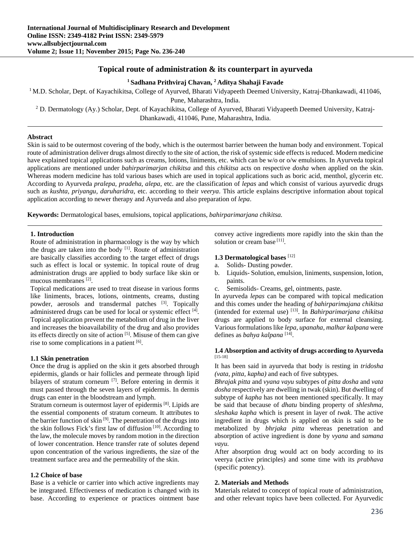## **Topical route of administration & its counterpart in ayurveda**

### **1 Sadhana Prithviraj Chavan, 2 Aditya Shahaji Favade**

<sup>1</sup> M.D. Scholar, Dept. of Kayachikitsa, College of Ayurved, Bharati Vidyapeeth Deemed University, Katraj-Dhankawadi, 411046,

Pune, Maharashtra, India.<br><sup>2</sup> D. Dermatology (Ay.) Scholar, Dept. of Kayachikitsa, College of Ayurved, Bharati Vidyapeeth Deemed University, Katraj-Dhankawadi, 411046, Pune, Maharashtra, India.

### **Abstract**

Skin is said to be outermost covering of the body, which is the outermost barrier between the human body and environment. Topical route of administration deliver drugs almost directly to the site of action, the risk of systemic side effects is reduced. Modern medicine have explained topical applications such as creams, lotions, liniments, etc. which can be w/o or o/w emulsions. In Ayurveda topical applications are mentioned under *bahirparimarjan chikitsa* and this *chikitsa* acts on respective *dosha* when applied on the skin. Whereas modern medicine has told various bases which are used in topical applications such as boric acid, menthol, glycerin etc. According to Ayurveda *pralepa, pradeha, alepa*, etc. are the classification of *lepas* and which consist of various ayurvedic drugs such as *kushta, priyangu, daruharidra*, etc. according to their *veerya*. This article explains descriptive information about topical application according to newer therapy and Ayurveda and also preparation of *lepa*.

**Keywords:** Dermatological bases, emulsions, topical applications, *bahirparimarjana chikitsa.*

#### **1. Introduction**

Route of administration in pharmacology is the way by which the drugs are taken into the body  $[1]$ . Route of administration are basically classifies according to the target effect of drugs such as effect is local or systemic. In topical route of drug administration drugs are applied to body surface like skin or mucous membranes [2].

Topical medications are used to treat disease in various forms like liniments, braces, lotions, ointments, creams, dusting powder, aerosols and transdermal patches [3]. Topically administered drugs can be used for local or systemic effect  $[4]$ . Topical application prevent the metabolism of drug in the liver and increases the bioavailability of the drug and also provides its effects directly on site of action [5]. Misuse of them can give rise to some complications in a patient [6].

### **1.1 Skin penetration**

Once the drug is applied on the skin it gets absorbed through epidermis, glands or hair follicles and permeate through lipid bilayers of stratum corneum <sup>[7]</sup>. Before entering in dermis it must passed through the seven layers of epidermis. In dermis drugs can enter in the bloodstream and lymph.

Stratum corneum is outermost layer of epidermis [8]. Lipids are the essential components of stratum corneum. It attributes to the barrier function of skin [9]. The penetration of the drugs into the skin follows Fick's first law of diffusion [10]. According to the law, the molecule moves by random motion in the direction of lower concentration. Hence transfer rate of solutes depend upon concentration of the various ingredients, the size of the treatment surface area and the permeability of the skin.

### **1.2 Choice of base**

Base is a vehicle or carrier into which active ingredients may be integrated. Effectiveness of medication is changed with its base. According to experience or practices ointment base convey active ingredients more rapidly into the skin than the solution or cream base [11].

### **1.3 Dermatological bases** [12]

- a. Solids- Dusting powder.
- b. Liquids- Solution, emulsion, liniments, suspension, lotion, paints.
- c. Semisolids- Creams, gel, ointments, paste.

In ayurveda *lepas* can be compared with topical medication and this comes under the heading *of bahirparimajana chikitsa* (intended for external use) [13]. In *Bahirparimarjana chikitsa* drugs are applied to body surface for external cleansing. Various formulations like *lepa, upanaha, malhar kalpana* were defines as *bahya kalpana* [14].

#### **1.4 Absorption and activity of drugs according to Ayurveda**  [15-18]

It has been said in ayurveda that body is resting in *tridosha (vata, pitta, kapha)* and each of five subtypes.

*Bhrajak pitta* and *vyana vayu* subtypes of *pitta dosha* and *vata dosha* respectively are dwelling in twak (skin). But dwelling of subtype of *kapha* has not been mentioned specifically. It may be said that because of *dhatu* binding property of *shleshma, sleshaka kapha* which is present in layer of *twak*. The active ingredient in drugs which is applied on skin is said to be metabolized by *bhrjaka pitta* whereas penetration and absorption of active ingredient is done by *vyana* and *samana vayu.*

After absorption drug would act on body according to its veerya (active principles) and some time with its *prabhava* (specific potency).

### **2. Materials and Methods**

Materials related to concept of topical route of administration, and other relevant topics have been collected. For Ayurvedic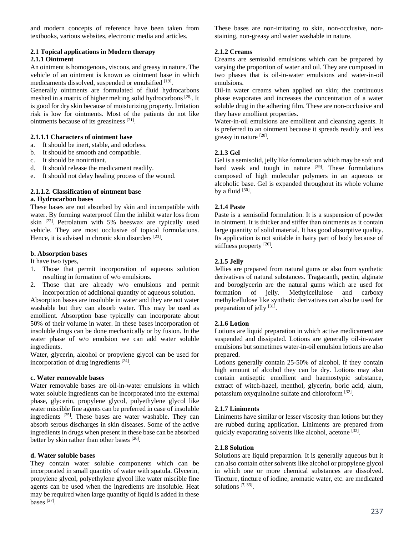and modern concepts of reference have been taken from textbooks, various websites, electronic media and articles.

### **2.1 Topical applications in Modern therapy 2.1.1 Ointment**

An ointment is homogenous, viscous, and greasy in nature. The vehicle of an ointment is known as ointment base in which medicaments dissolved, suspended or emulsified [19].

Generally ointments are formulated of fluid hydrocarbons meshed in a matrix of higher melting solid hydrocarbons [20]. It is good for dry skin because of moisturizing property. Irritation risk is low for ointments. Most of the patients do not like ointments because of its greasiness [21].

### **2.1.1.1 Characters of ointment base**

- a. It should be inert, stable, and odorless.
- b. It should be smooth and compatible.
- c. It should be nonirritant.
- d. It should release the medicament readily.
- e. It should not delay healing process of the wound.

# **2.1.1.2. Classification of ointment base**

#### **a. Hydrocarbon bases**

These bases are not absorbed by skin and incompatible with water. By forming waterproof film the inhibit water loss from skin [22]. Petrolatum with 5% beeswax are typically used vehicle. They are most occlusive of topical formulations. Hence, it is advised in chronic skin disorders [23].

### **b. Absorption bases**

It have two types,

- 1. Those that permit incorporation of aqueous solution resulting in formation of w/o emulsions.
- 2. Those that are already w/o emulsions and permit incorporation of additional quantity of aqueous solution.

Absorption bases are insoluble in water and they are not water washable but they can absorb water. This may be used as emollient. Absorption base typically can incorporate about 50% of their volume in water. In these bases incorporation of insoluble drugs can be done mechanically or by fusion. In the water phase of w/o emulsion we can add water soluble ingredients.

Water, glycerin, alcohol or propylene glycol can be used for incorporation of drug ingredients [24].

### **c. Water removable bases**

Water removable bases are oil-in-water emulsions in which water soluble ingredients can be incorporated into the external phase, glycerin, propylene glycol, polyethylene glycol like water miscible fine agents can be preferred in case of insoluble ingredients [25]. These bases are water washable. They can absorb serous discharges in skin diseases. Some of the active ingredients in drugs when present in these base can be absorbed better by skin rather than other bases [26].

### **d. Water soluble bases**

They contain water soluble components which can be incorporated in small quantity of water with spatula. Glycerin, propylene glycol, polyethylene glycol like water miscible fine agents can be used when the ingredients are insoluble. Heat may be required when large quantity of liquid is added in these bases [27].

These bases are non-irritating to skin, non-occlusive, nonstaining, non-greasy and water washable in nature.

### **2.1.2 Creams**

Creams are semisolid emulsions which can be prepared by varying the proportion of water and oil. They are composed in two phases that is oil-in-water emulsions and water-in-oil emulsions.

Oil-in water creams when applied on skin; the continuous phase evaporates and increases the concentration of a water soluble drug in the adhering film. These are non-occlusive and they have emollient properties.

Water-in-oil emulsions are emollient and cleansing agents. It is preferred to an ointment because it spreads readily and less greasy in nature [28].

### **2.1.3 Gel**

Gel is a semisolid, jelly like formulation which may be soft and hard weak and tough in nature  $[29]$ . These formulations composed of high molecular polymers in an aqueous or alcoholic base. Gel is expanded throughout its whole volume by a fluid  $[30]$ .

### **2.1.4 Paste**

Paste is a semisolid formulation. It is a suspension of powder in ointment. It is thicker and stiffer than ointments as it contain large quantity of solid material. It has good absorptive quality. Its application is not suitable in hairy part of body because of stiffness property [26].

### **2.1.5 Jelly**

Jellies are prepared from natural gums or also from synthetic derivatives of natural substances. Tragacanth, pectin, alginate and boroglycerin are the natural gums which are used for formation of jelly. Methylcellulose and carboxy methylcellulose like synthetic derivatives can also be used for preparation of jelly [31].

### **2.1.6 Lotion**

Lotions are liquid preparation in which active medicament are suspended and dissipated. Lotions are generally oil-in-water emulsions but sometimes water-in-oil emulsion lotions are also prepared.

Lotions generally contain 25-50% of alcohol. If they contain high amount of alcohol they can be dry. Lotions may also contain antiseptic emollient and haemostypic substance, extract of witch-hazel, menthol, glycerin, boric acid, alum, potassium oxyquinoline sulfate and chloroform [32].

### **2.1.7 Liniments**

Liniments have similar or lesser viscosity than lotions but they are rubbed during application. Liniments are prepared from quickly evaporating solvents like alcohol, acetone [32].

### **2.1.8 Solution**

Solutions are liquid preparation. It is generally aqueous but it can also contain other solvents like alcohol or propylene glycol in which one or more chemical substances are dissolved. Tincture, tincture of iodine, aromatic water, etc. are medicated solutions [7, 33].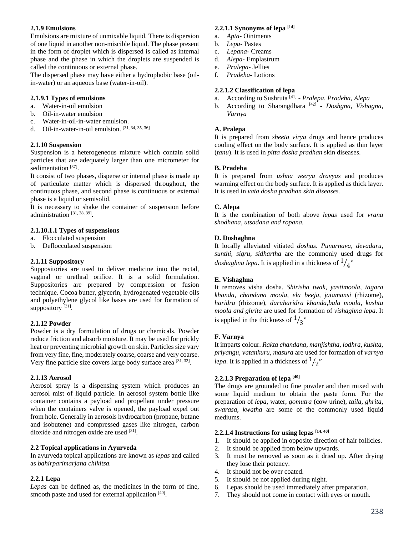### **2.1.9 Emulsions**

Emulsions are mixture of unmixable liquid. There is dispersion of one liquid in another non-miscible liquid. The phase present in the form of droplet which is dispersed is called as internal phase and the phase in which the droplets are suspended is called the continuous or external phase.

The dispersed phase may have either a hydrophobic base (oilin-water) or an aqueous base (water-in-oil).

## **2.1.9.1 Types of emulsions**

- a. Water-in-oil emulsion
- b. Oil-in-water emulsion
- c. Water-in-oil-in-water emulsion.
- d. Oil-in-water-in-oil emulsion. [31, 34, 35, 36]

## **2.1.10 Suspension**

Suspension is a heterogeneous mixture which contain solid particles that are adequately larger than one micrometer for sedimentation<sup>[37]</sup>.

It consist of two phases, disperse or internal phase is made up of particulate matter which is dispersed throughout, the continuous phase, and second phase is continuous or external phase is a liquid or semisolid.

It is necessary to shake the container of suspension before administration [31, 38, 39].

# **2.1.10.1.1 Types of suspensions**

- a. Flocculated suspension
- b. Deflocculated suspension

# **2.1.11 Suppository**

Suppositories are used to deliver medicine into the rectal, vaginal or urethral orifice. It is a solid formulation. Suppositories are prepared by compression or fusion technique. Cocoa butter, glycerin, hydrogenated vegetable oils and polyethylene glycol like bases are used for formation of suppository [31].

# **2.1.12 Powder**

Powder is a dry formulation of drugs or chemicals. Powder reduce friction and absorb moisture. It may be used for prickly heat or preventing microbial growth on skin. Particles size vary from very fine, fine, moderately coarse, coarse and very coarse. Very fine particle size covers large body surface area [31, 32].

# **2.1.13 Aerosol**

Aerosol spray is a dispensing system which produces an aerosol mist of liquid particle. In aerosol system bottle like container contains a payload and propellant under pressure when the containers valve is opened, the payload expel out from hole. Generally in aerosols hydrocarbon (propane, butane and isobutene) and compressed gases like nitrogen, carbon dioxide and nitrogen oxide are used [31].

## **2.2 Topical applications in Ayurveda**

In ayurveda topical applications are known as *lepas* and called as *bahirparimarjana chikitsa.* 

## **2.2.1 Lepa**

*Lepas* can be defined as, the medicines in the form of fine, smooth paste and used for external application [40].

## **2.2.1.1 Synonyms of lepa [14]**

- a. *Apta* Ointments
- b. *Lepa* Pastes
- c. *Lepana* Creams
- d. *Alepa* Emplastrum
- e. *Pralepa* Jellies
- f. *Pradeha* Lotions

# **2.2.1.2 Classification of lepa**

- a. According to Sushruta [41] *Pralepa, Pradeha, Alepa*
- b. According to Sharangdhara [42] *Doshgna, Vishagna, Varnya*

### **A. Pralepa**

It is prepared from *sheeta virya* drugs and hence produces cooling effect on the body surface. It is applied as thin layer (*tanu*). It is used in *pitta dosha pradhan* skin diseases.

## **B. Pradeha**

It is prepared from *ushna veerya dravyas* and produces warming effect on the body surface. It is applied as thick layer. It is used in *vata dosha pradhan skin diseases.* 

## **C. Alepa**

It is the combination of both above *lepas* used for *vrana shodhana, utsadana and ropana.*

## **D. Doshaghna**

It locally alleviated vitiated *doshas*. *Punarnava, devadaru, sunthi, sigru, sidhartha* are the commonly used drugs for *doshaghna lepa*. It is applied in a thickness of  $\frac{1}{4}$ 

## **E. Vishaghna**

It removes visha dosha*. Shirisha twak, yastimoola, tagara khanda*, *chandana moola, ela beeja, jatamansi* (rhizome), *haridra* (rhizome), *daruharidra khanda,bala moola, kushta moola and ghrita* are used for formation of *vishaghna lepa*. It is applied in the thickness of  $\frac{1}{3}$ "

## **F. Varnya**

It imparts colour. *Rakta chandana, manjishtha, lodhra, kushta, priyangu, vatankuru, masura* are used for formation of *varnya lepa*. It is applied in a thickness of  $\frac{1}{2}$ "

## **2.2.1.3 Preparation of lepa [40]**

The drugs are grounded to fine powder and then mixed with some liquid medium to obtain the paste form. For the preparation of *lepa,* water, *gomutra* (cow urine), *taila, ghrita, swarasa, kwatha* are some of the commonly used liquid mediums.

## **2.2.1.4 Instructions for using lepas [14, 40]**

- 1. It should be applied in opposite direction of hair follicles.
- 2. It should be applied from below upwards.
- 3. It must be removed as soon as it dried up. After drying they lose their potency.
- 4. It should not be over coated.
- 5. It should be not applied during night.
- 6. Lepas should be used immediately after preparation.
- 7. They should not come in contact with eyes or mouth.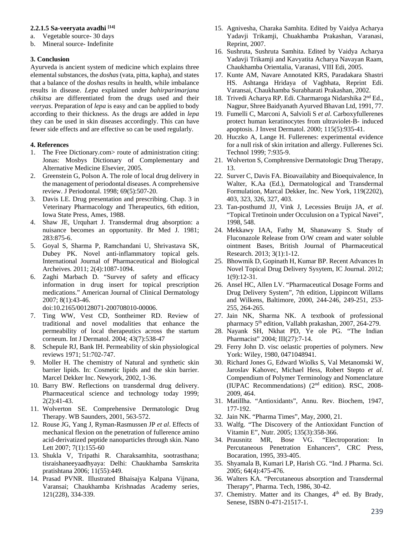#### **2.2.1.5 Sa-veeryata avadhi [14]**

- a. Vegetable source- 30 days
- b. Mineral source- Indefinite

#### **3. Conclusion**

Ayurveda is ancient system of medicine which explains three elemental substances, the *doshas* (vata, pitta, kapha), and states that a balance of the *doshas* results in health, while imbalance results in disease. *Lepa* explained under *bahirparimarjana chikitsa* are differentiated from the drugs used and their *veeryas*. Preparation of *lepa* is easy and can be applied to body according to their thickness. As the drugs are added in *lepa* they can be used in skin diseases accordingly. This can have fewer side effects and are effective so can be used regularly.

### **4. References**

- 1. The Free Dictionary.com> route of administration citing: Jonas: Mosbys Dictionary of Complementary and Alternative Medicine Elsevier, 2005.
- 2. Greenstein G, Polson A. The role of local drug delivery in the management of periodontal diseases. A comprehensive review. J Periodontal. 1998; 69(5):507-20.
- 3. Davis LE. Drug presentation and prescribing. Chap. 3 in Veterinary Pharmacology and Therapeutics, 6th edition, Iowa State Press, Ames, 1988.
- 4. Shaw JE, Urquhart J. Transdermal drug absorption: a nuisance becomes an opportunity. Br Med J. 1981; 283:875-6.
- 5. Goyal S, Sharma P, Ramchandani U, Shrivastava SK, Dubey PK. Novel anti-inflammatory topical gels. International Journal of Pharmaceutical and Biological Archeives. 2011; 2(4):1087-1094.
- 6. Zaghi Marbach D. "Survey of safety and efficacy information in drug insert for topical prescription medications." American Journal of Clinical Dermatology 2007; 8(1):43-46.

doi:10.2165/00128071-200708010-00006.

- 7. Ting WW, Vest CD, Sontheimer RD. Review of traditional and novel modalities that enhance the permeability of local therapeutics across the startum corneum. Int J Dermatol. 2004; 43(7):538-47
- 8. Schepule RJ, Bank IH. Permeability of skin physiological reviews 1971; 51:702-747.
- 9. Moller H. The chemistry of Natural and synthetic skin barrier lipids. In: Cosmetic lipids and the skin barrier. Marcel Dekker Inc. Newyork, 2002, 1-36.
- 10. Barry BW. Reflections on transdermal drug delivery. Pharmaceutical science and technology today 1999; 2(2):41-43.
- 11. Wolverton SE. Comprehensive Dermatologic Drug Therapy. WB Saunders, 2001, 563-572.
- 12. Rouse JG, Yang J, Ryman-Rasmussen JP *et al*. Effects of mechanical flexion on the penetration of fullerence amino acid-derivatized peptide nanoparticles through skin. Nano Lett 2007; 7(1):155-60
- 13. Shukla V, Tripathi R. Charaksamhita, sootrasthana; tisraishaneeyaadhyaya: Delhi: Chaukhamba Samskrita pratishtana 2006; 11(55):449.
- 14. Prasad PVNR. Illustrated Bhaisajya Kalpana Vijnana, Varansai; Chaukhamba Krishnadas Academy series, 121(228), 334-339.
- 15. Agnivesha, Charaka Samhita. Edited by Vaidya Acharya Yadavji Trikamji, Chuakhamba Prakashan, Varanasi, Reprint, 2007.
- 16. Sushruta, Sushruta Samhita. Edited by Vaidya Acharya Yadavji Trikamji and Kavyatita Acharya Navayan Raam, Chaukhamba Orientalia, Varanasi, VIII Edi, 2005.
- 17. Kunte AM, Navare Annotated KRS, Paradakara Shastri HS. Ashtanga Hridaya of Vagbhata, Reprint Edi. Varansai, Chaukhamba Surabharati Prakashan, 2002.
- 18. Trivedi Acharya RP. Edi. Charmaroga Nidarshika 2nd Ed., Nagpur, Shree Baidyanath Ayurved Bhavan Ltd, 1991, 77.
- 19. Fumelli C, Marconi A, Salvioli S *et al*. Carboxyfullerenes protect human keratinocytes from ultraviolet-B- induced apoptosis. J Invest Dermatol. 2000; 115(5):935-41.
- 20. Huczko A, Lange H. Fullerenes: experimental evidence for a null risk of skin irritation and allergy. Fullerenes Sci. Technol 1999; 7:935-9.
- 21. Wolverton S, Comphrensive Dermatologic Drug Therapy, 13.
- 22. Surver C, Davis FA. Bioavailabity and Bioequivalence, In Walter, K.Aa (Ed.), Dermatological and Transdermal Formulation, Marcal Dekker, Inc. New York, 119(2202), 403, 323, 326, 327, 403.
- 23. Tan-posthumd JJ, Vink J, Lecessies Bruijn JA, *et al*. "Topical Tretinoin under Occulusion on a Typical Navei", 1998, 548.
- 24. Mekkawy IAA, Fathy M, Shanawany S. Study of Fluconazole Release from O/W cream and water soluble ointment Bases, British Journal of Pharmaceutical Research. 2013; 3(1):1-12.
- 25. Bhowmik D, Gopinath H, Kumar BP. Recent Advances In Novel Topical Drug Delivery Sysytem, IC Journal. 2012; 1(9):12-31.
- 26. Ansel HC, Allen LV. "Pharmaceutical Dosage Forms and Drug Delivery System", 7th edition, Lippincott Willams and Wilkens, Baltimore, 2000, 244-246, 249-251, 253- 255, 264-265.
- 27. Jain NK, Sharma NK. A textbook of professional pharmacy 5<sup>th</sup> edition, Vallabh prakashan, 2007, 264-279.
- 28. Nayank SH, Nkhat PD, Ye ole PG. "The Indian Pharmacist" 2004; III(27):7-14.
- 29. Ferry John D. visc oelastic properties of polymers. New York: Wiley, 1980, 0471048941.
- 30. Richard Jones G, Edward Wiolks S, Val Metanomski W, Jaroslav Kahovec, Michael Hess, Robert Stepto *et al*. Compendium of Polymer Terminology and Nomenclature (IUPAC Recommendations) (2nd edition). RSC, 2008- 2009, 464.
- 31. Matillha. "Antioxidants", Annu. Rev. Biochem, 1947, 177-192.
- 32. Jain NK. "Pharma Times", May, 2000, 21.
- 33. Walfg. "The Discovery of the Antioxidant Function of Vitamin E", Nutr. 2005; 135(3):358-366.
- 34. Prausnitz MR, Bose VG. "Electroporation: In Percutaneous Penetration Enhancers", CRC Press, Bocaration, 1995, 393-405.
- 35. Shyamala B, Kumari LP, Harish CG. "Ind. J Pharma. Sci. 2005; 64(4):475-476.
- 36. Walters KA. "Percutaneous absorption and Transdermal Therapy", Pharma. Tech, 1986, 30-42.
- 37. Chemistry. Matter and its Changes, 4<sup>th</sup> ed. By Brady, Senese, ISBN 0-471-21517-1.